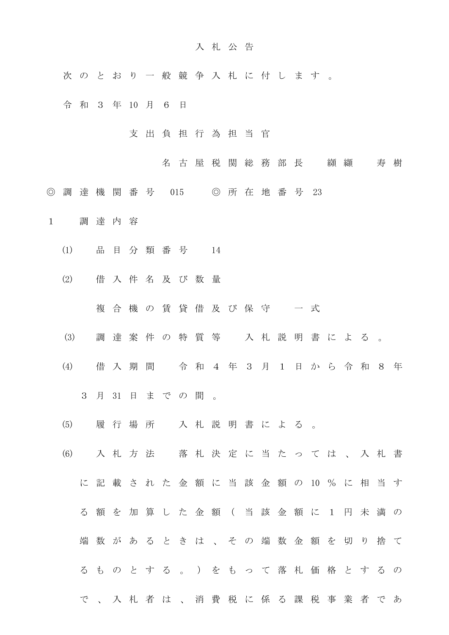## 入 札 公 告

- 次 の と お り 一 般 競 争 入 札 に 付 し ま す 。
- 令和3 年 10 月 6 日
	- 支 出 負 担 行 為 担 当 官
		- 名古屋税関総務部長 纐纈 寿樹
- ◎ 調 達 機 関 番 号 015 ◎ 所 在 地 番 号 23
- 1 調 達 内 容
	- (1) 品 目 分 類 番 号 14
	- (2) 借 入 件 名 及 び 数 量
		- 複合機の賃貸借及び保守 一式
	- (3) 調 達 案 件 の 特 質 等 入 札 説 明 書 に よ る 。
	- (4) 借 入 期 間 令 和 4 年 3 月 1 日 か ら 令 和 8 年 3 月 31 日 ま で の 間 。
	- (5) 履 行 場 所 入 札 説 明 書 に よ る 。
	- (6) 入 札 方 法 落 札 決 定 に 当 た っ て は 、 入 札 書 に 記 載 さ れ た 金 額 に 当 該 金 額 の 10 % に 相 当 す
		- る 額 を 加 算 し た 金 額 ( 当 該 金 額 に 1 円 未 満 の 端 数 が あ る と き は 、 そ の 端 数 金 額 を 切 り 捨 て る も の と す る 。 ) を も っ て 落 札 価 格 と す る の
		- で 、 入 札 者 は 、 消 費 税 に 係 る 課 税 事 業 者 で あ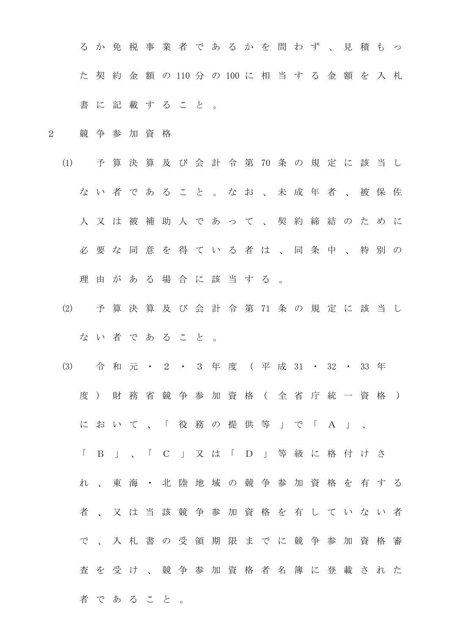る か 免 税 事 業 者 で あ る か を 問 わ ず 、 見 積 も っ た 契 約 金 額 の 110 分 の 100 に 相 当 す る 金 額 を 入 札 書 に 記 載 す る こ と 。

2 競 争 参 加 資 格

者 で あ る こ と 。

- (1) 予 算 決 算 及 び 会 計 令 第 70 条 の 規 定 に 該 当 し な い 者 で あ る こ と 。 な お 、 未 成 年 者 、 被 保 佐 人 又 は 被 補 助 人 で あ っ て 、 契 約 締 結 の た め に 必 要 な 同 意 を 得 て い る 者 は 、 同 条 中 、 特 別 の 理 由 が あ る 場 合 に 該 当 す る 。
- (2) 予 算 決 算 及 び 会 計 令 第 71 条 の 規 定 に 該 当 し な い 者 で あ る こ と 。
- (3) 令 和 元 ・ 2 ・ 3 年 度 ( 平 成 31 ・ 32 ・ 33 年 度) 財 務 省 競 争 参 加 資 格 ( 全 省 庁 統 一 資 格 ) に お い て 、 「 役 務 の 提 供 等 」 で 「 A 」 、 「 B 」 、 「 C 」 又 は 「 D 」 等 級 に 格 付 け さ れ 、 東 海 ・ 北 陸 地 域 の 競 争 参 加 資 格 を 有 す る 者 、 又 は 当 該 競 争 参 加 資 格 を 有 し て い な い 者 で 、 入 札 書 の 受 領 期 限 ま で に 競 争 参 加 資 格 審 査 を 受 け 、 競 争 参 加 資 格 者 名 簿 に 登 載 さ れ た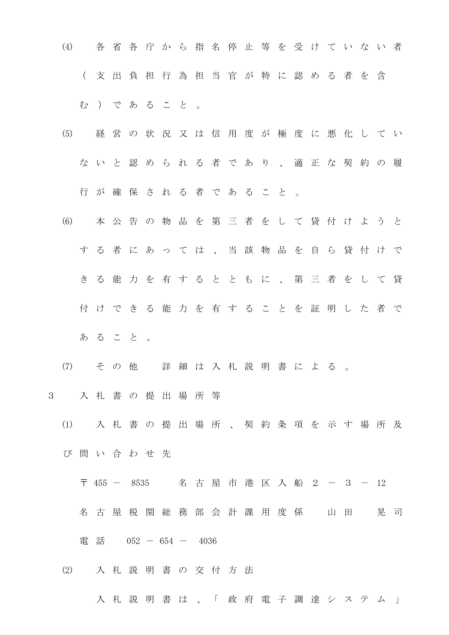(4) 各 省 各 庁 か ら 指 名 停 止 等 を 受 け て い な い 者 ( 支 出 負 担 行 為 担 当 官 が 特 に 認 め る 者 を 含 む ) で あ る こ と 。

- (5) 経 営 の 状 況 又 は 信 用 度 が 極 度 に 悪 化 し て い な い と 認 め ら れ る 者 で あ り 、 適 正 な 契 約 の 履 行 が 確 保 さ れ る 者 で あ る こ と 。
- (6) 本 公 告 の 物 品 を 第 三 者 を し て 貸 付 け よ う と す る 者 に あ っ て は 、 当 該 物 品 を 自 ら 貸 付 け で き る 能 力 を 有 す る と と も に 、 第 三 者 を し て 貸 付 け で き る 能 力 を 有 す る こ と を 証 明 し た 者 で あ る こ と 。
- (7) そ の 他 詳 細 は 入 札 説 明 書 に よ る 。

3 入 札 書 の 提 出 場 所 等

(1) 入 札 書 の 提 出 場 所 、 契 約 条 項 を 示 す 場 所 及 び 問 い 合 わ せ 先

〒 455 - 8535 名 古 屋 市 港 区 入 船 2 - 3 - 12

名 古 屋 税 関 総 務 部 会 計 課 用 度 係 山 田 晃 司

電話 052 - 654 - 4036

(2) 入 札 説 明 書 の 交 付 方 法

入 札 説 明 書 は 、「 政 府 電 子 調 達 シ ス テ ム 」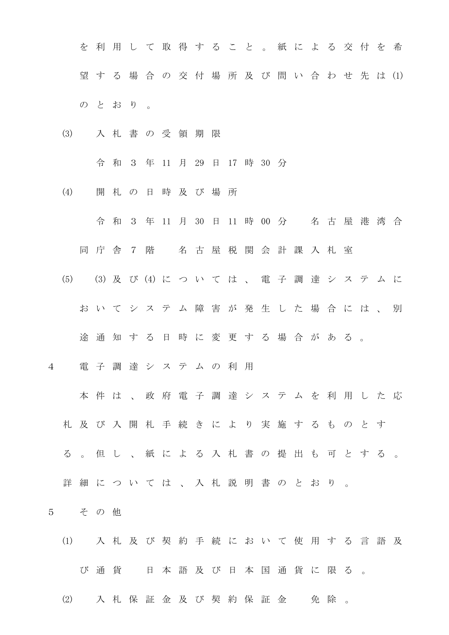を 利 用 し て 取 得 す る こ と 。 紙 に よ る 交 付 を 希 望 す る 場 合 の 交 付 場 所 及 び 問 い 合 わ せ 先 は (1) の と お り 。

(3) 入 札 書 の 受 領 期 限

令 和 3 年 11 月 29 日 17 時 30 分

- (4) 開 札 の 日 時 及 び 場 所
	- 令 和 3 年 11 月 30 日 11 時 00 分 名 古 屋 港 湾 合
	- 同 庁 舎 7 階 名 古 屋 税 関 会 計 課 入 札 室
- (5) (3) 及 び (4) に つ い て は 、 電 子 調 達 シ ス テ ム に
	- お い て シ ス テ ム 障 害 が 発 生 し た 場 合 に は 、 別
	- 途 通 知 す る 日 時 に 変 更 す る 場 合 が あ る 。
- 4 電 子 調 達 シ ス テ ム の 利 用
	- 本 件 は 、 政 府 電 子 調 達 シ ス テ ム を 利 用 し た 応
	- 札 及 び 入 開 札 手 続 き に よ り 実 施 す る も の と す
	- る 。 但 し 、 紙 に よ る 入 札 書 の 提 出 も 可 と す る 。
	- 詳 細 に つ い て は 、 入 札 説 明 書 の と お り 。
- 5 そ の 他
	- (1) 入札及び 契 約 手 続 に お い て 使 用 す る 言 語 及 び 通貨 日本語及び日本国通貨に限る。
	- (2) 入 札 保 証 金 及 び 契 約 保 証 金 の 免 除 。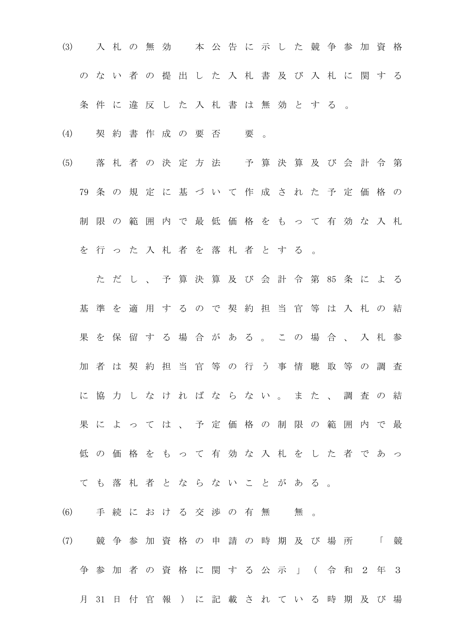- (3) 入 札 の 無 効 本 公 告 に 示 し た 競 争 参 加 資 格 の な い 者 の 提 出 し た 入 札 書 及 び 入 札 に 関 す る
	- 条件に違反した入札書は無効とする。
- (4) 契約書作成の要否 要。
- (5) 落 札 者 の 決 定 方 法 予 算 決 算 及 び 会 計 令 第 79 条 の 規 定 に 基 づ い て 作 成 さ れ た 予 定 価 格 の 制 限 の 範 囲 内 で 最 低 価 格 を も っ て 有 効 な 入 札 を 行 っ た 入 札 者 を 落 札 者 と す る 。

た だ し 、 予 算 決 算 及 び 会 計 令 第 85 条 に よ る 基 準 を 適 用 す る の で 契 約 担 当 官 等 は 入 札 の 結 果 を 保 留 す る 場 合 が あ る 。 こ の 場 合 、 入 札 参 加 者 は 契 約 担 当 官 等 の 行 う 事 情 聴 取 等 の 調 査 に 協 力 し な け れ ば な ら な い 。 ま た 、 調 査 の 結 果 に よ っ て は 、 予 定 価 格 の 制 限 の 範 囲 内 で 最 低 の 価 格 を も っ て 有 効 な 入 札 を し た 者 で あ っ

- て も 落 札 者 と な ら な い こ と が あ る 。
- (6) 手続における交渉の有無 無。
- (7) 競 争 参 加 資 格 の 申 請 の 時 期 及 び 場 所 「 競 争 参 加 者 の 資 格 に 関 す る 公 示 」 ( 令 和 2 年 3 月 31 日 付 官 報 ) に 記 載 さ れ て い る 時 期 及 び 場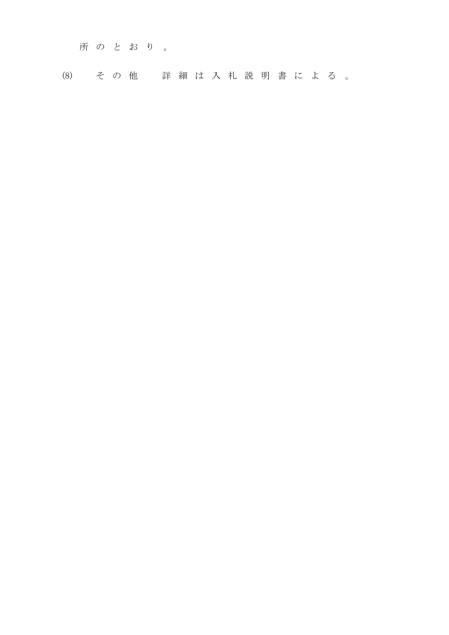所 の と お り 。

(8) そ の 他 詳 細 は 入 札 説 明 書 に よ る 。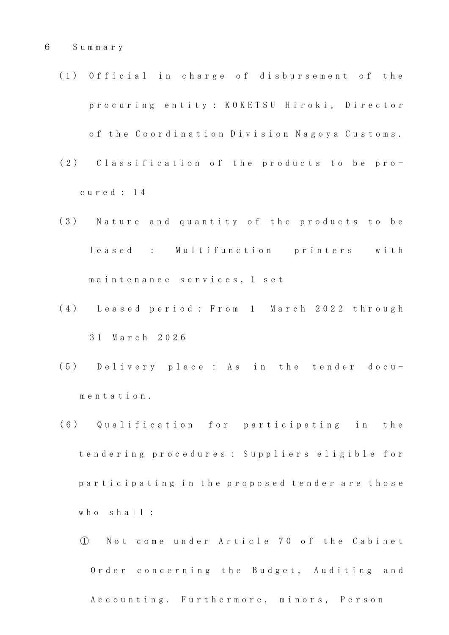- (1) Official in charge of disbursement of the p r o c u r i n g e n t i t y : K O K E T S U H i r o k i , D i r e c t o r of the Coordination Division Nagoya Customs.
- (2) Classification of the products to be proc u r e d : 1 4
- (3) Nature and quantity of the products to be leased : Multifunction printers with maintenance services, 1 set
- (4) Leased period: From 1 March 2022 through 3 1 M a r c h 2 0 2 6
- (5) Delivery place: As in the tender docum e n t a t i o n .
- (6) Qualification for participating in the t endering procedures : Suppliers eligible for participating in the proposed tender are those who shall:
	- ① N o t c o m e u n d e r A r t i c l e 7 0 o f t h e C a b i n e t Order concerning the Budget, Auditing and A c c o u n t i n g . Furthermore, minors, Person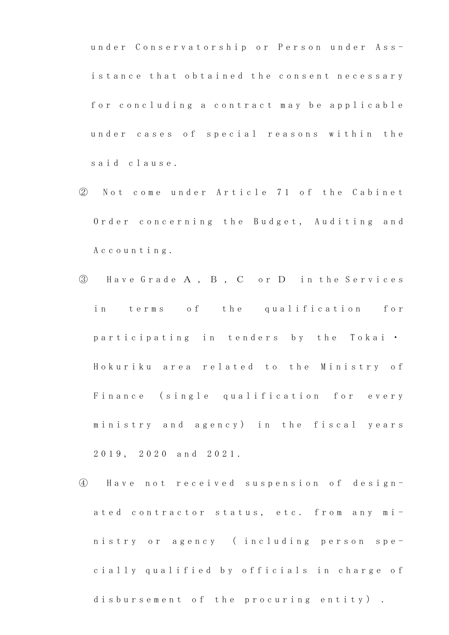under Conservatorship or Person under Assistance that obtained the consent necessary for concluding a contract may be applicable under cases of special reasons within the said clause.

- 2 Not come under Article 71 of the Cabinet Order concerning the Budget, Auditing and A c c o u n t i n g .
- ③ H a v e G r a d e A , B , C o r D i n t h e S e r v i c e s in terms of the qualification for participating in tenders by the Tokai . Hokuriku area related to the Ministry of Finance (single qualification for every ministry and agency) in the fiscal years 2 0 1 9 , 2 0 2 0 a n d 2 0 2 1 .
- ④ H a v e n o t r e c e i v e d s u s p e n s i o n o f d e s i g n ated contractor status, etc. from any ministry or agency (including person specially qualified by officials in charge of disbursement of the procuring entity).